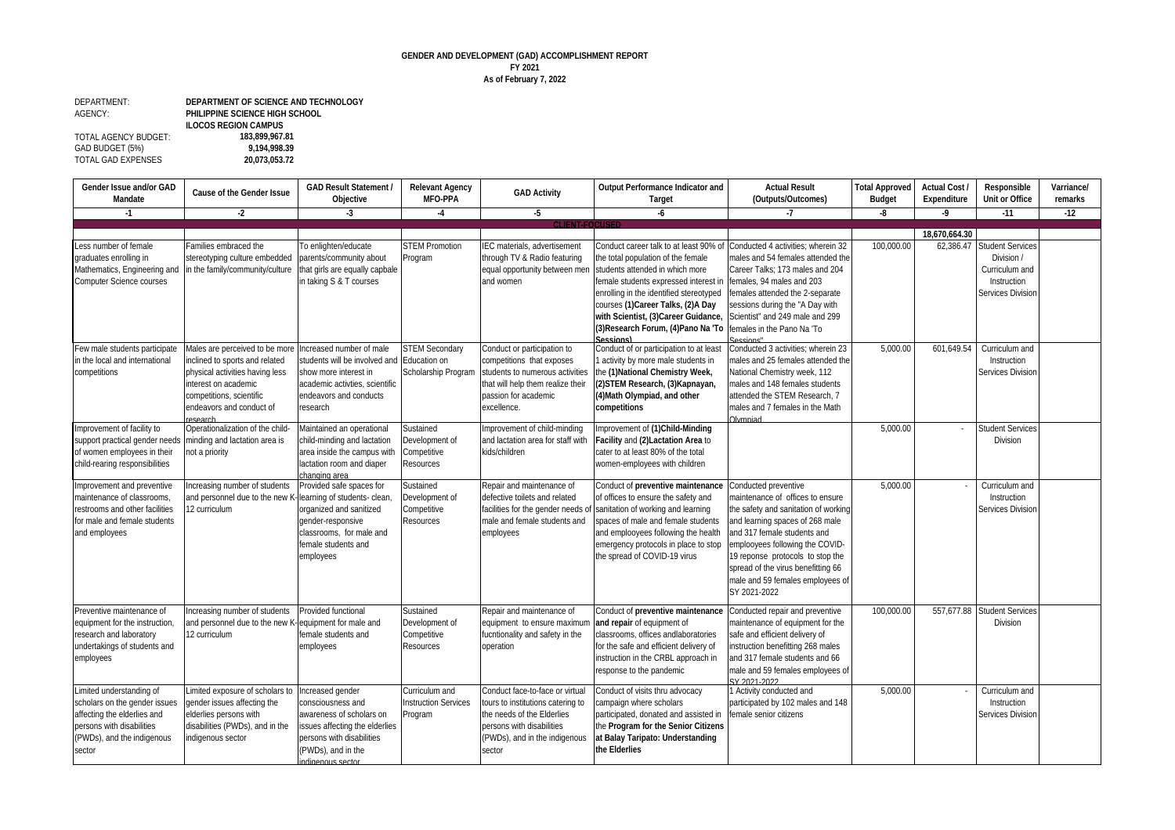## **GENDER AND DEVELOPMENT (GAD) ACCOMPLISHMENT REPORT FY 2021 As of February 7, 2022**

## DEPARTMENT: AGENCY: TOTAL AGENCY BUDGET: **183,899,967.81** GAD BUDGET (5%) **9,194,998.39** TOTAL GAD EXPENSES **DEPARTMENT OF SCIENCE AND TECHNOLOGY PHILIPPINE SCIENCE HIGH SCHOOL ILOCOS REGION CAMPUS**

| Gender Issue and/or GAD<br><b>Mandate</b>                                                                                                                     | <b>Cause of the Gender Issue</b>                                                                                                                                                               | <b>GAD Result Statement /</b><br>Objective                                                                                                                                  | <b>Relevant Agency</b><br><b>MFO-PPA</b>                       | <b>GAD Activity</b>                                                                                                                                                        | <b>Output Performance Indicator and</b><br><b>Target</b>                                                                                                                                                                                                                                                                 | <b>Actual Result</b><br>(Outputs/Outcomes)                                                                                                                                                                                                                                                                                          | <b>Total Approved</b><br><b>Budget</b> | <b>Actual Cost /</b><br><b>Expenditure</b> | <b>Responsible</b><br><b>Unit or Office</b>                                                 | <b>Varriance/</b><br>remarks |
|---------------------------------------------------------------------------------------------------------------------------------------------------------------|------------------------------------------------------------------------------------------------------------------------------------------------------------------------------------------------|-----------------------------------------------------------------------------------------------------------------------------------------------------------------------------|----------------------------------------------------------------|----------------------------------------------------------------------------------------------------------------------------------------------------------------------------|--------------------------------------------------------------------------------------------------------------------------------------------------------------------------------------------------------------------------------------------------------------------------------------------------------------------------|-------------------------------------------------------------------------------------------------------------------------------------------------------------------------------------------------------------------------------------------------------------------------------------------------------------------------------------|----------------------------------------|--------------------------------------------|---------------------------------------------------------------------------------------------|------------------------------|
| $-1$                                                                                                                                                          | $-2$                                                                                                                                                                                           | -3                                                                                                                                                                          | $-4$                                                           | $-5$                                                                                                                                                                       | -6                                                                                                                                                                                                                                                                                                                       | -7                                                                                                                                                                                                                                                                                                                                  | -8                                     | -9                                         | $-11$                                                                                       | $-12$                        |
|                                                                                                                                                               |                                                                                                                                                                                                |                                                                                                                                                                             |                                                                | <b>CLIENT-FOCUSED</b>                                                                                                                                                      |                                                                                                                                                                                                                                                                                                                          |                                                                                                                                                                                                                                                                                                                                     |                                        |                                            |                                                                                             |                              |
|                                                                                                                                                               |                                                                                                                                                                                                |                                                                                                                                                                             |                                                                |                                                                                                                                                                            |                                                                                                                                                                                                                                                                                                                          |                                                                                                                                                                                                                                                                                                                                     |                                        | 18,670,664.30                              |                                                                                             |                              |
| Less number of female<br>graduates enrolling in<br>Mathematics, Engineering and<br>Computer Science courses                                                   | Families embraced the<br>stereotyping culture embedded<br>in the family/community/culture                                                                                                      | To enlighten/educate<br>parents/community about<br>hat girls are equally capbale<br>in taking S & T courses                                                                 | <b>STEM Promotion</b><br>Program                               | IEC materials, advertisement<br>through TV & Radio featuring<br>equal opportunity between mer<br>and women                                                                 | Conduct career talk to at least 90% of<br>the total population of the female<br>students attended in which more<br>female students expressed interest in<br>enrolling in the identified stereotyped<br>courses (1) Career Talks, (2) A Day<br>with Scientist, (3)Career Guidance,<br>(3) Research Forum, (4) Pano Na 'To | Conducted 4 activities; wherein 32<br>males and 54 females attended the<br>Career Talks; 173 males and 204<br>females, 94 males and 203<br>females attended the 2-separate<br>sessions during the "A Day with<br>Scientist" and 249 male and 299<br>females in the Pano Na 'To                                                      | 100,000.00                             | 62,386.47                                  | <b>Student Services</b><br>Division /<br>Curriculum and<br>Instruction<br>Services Division |                              |
| Few male students participate<br>in the local and international<br>competitions                                                                               | Males are perceived to be more<br>inclined to sports and related<br>physical activities having less<br>interest on academic<br>competitions, scientific<br>endeavors and conduct of<br>esearch | Increased number of male<br>students will be involved and<br>show more interest in<br>academic activties, scientific<br>endeavors and conducts<br>research                  | <b>STEM Secondary</b><br>Education on<br>Scholarship Program   | Conduct or participation to<br>competitions that exposes<br>students to numerous activities<br>that will help them realize their<br>passion for academic<br>excellence.    | Sessions)<br>Conduct of or participation to at least<br>1 activity by more male students in<br>the (1) National Chemistry Week,<br>(2) STEM Research, (3) Kapnayan,<br>(4) Math Olympiad, and other<br>competitions                                                                                                      | Sessions'<br>Conducted 3 activities: wherein 23<br>males and 25 females attended the<br>National Chemistry week, 112<br>males and 148 females students<br>attended the STEM Research, 7<br>males and 7 females in the Math<br>Olympiad                                                                                              | 5,000.00                               | 601,649.54                                 | Curriculum and<br>Instruction<br>Services Division                                          |                              |
| Improvement of facility to<br>support practical gender needs<br>of women employees in their<br>child-rearing responsibilities                                 | Operationalization of the child-<br>minding and lactation area is<br>not a priority                                                                                                            | Maintained an operational<br>child-minding and lactation<br>area inside the campus with<br>actation room and diaper<br>changing area                                        | Sustained<br>Development of<br>Competitive<br><b>Resources</b> | Improvement of child-minding<br>and lactation area for staff with<br>kids/children                                                                                         | Improvement of (1)Child-Minding<br>Facility and (2)Lactation Area to<br>cater to at least 80% of the total<br>women-employees with children                                                                                                                                                                              |                                                                                                                                                                                                                                                                                                                                     | 5,000.00                               |                                            | <b>Student Services</b><br><b>Division</b>                                                  |                              |
| Improvement and preventive<br>maintenance of classrooms,<br>restrooms and other facilities<br>for male and female students<br>and employees                   | Increasing number of students<br>and personnel due to the new K-<br>12 curriculum                                                                                                              | Provided safe spaces for<br>earning of students- clean,<br>organized and sanitized<br>gender-responsive<br>classrooms. for male and<br>emale students and<br>employees      | Sustained<br>Development of<br>Competitive<br>Resources        | Repair and maintenance of<br>defective toilets and related<br>facilities for the gender needs o<br>male and female students and<br>employees                               | Conduct of preventive maintenance<br>of offices to ensure the safety and<br>sanitation of working and learning<br>spaces of male and female students<br>and emplooyees following the health<br>emergency protocols in place to stop<br>the spread of COVID-19 virus                                                      | Conducted preventive<br>maintenance of offices to ensure<br>the safety and sanitation of working<br>and learning spaces of 268 male<br>and 317 female students and<br>emplooyees following the COVID-<br>19 reponse protocols to stop the<br>spread of the virus benefitting 66<br>male and 59 females employees of<br>SY 2021-2022 | 5.000.00                               |                                            | Curriculum and<br>Instruction<br>Services Division                                          |                              |
| Preventive maintenance of<br>equipment for the instruction,<br>research and laboratory<br>undertakings of students and<br>employees                           | Increasing number of students<br>and personnel due to the new K-<br>12 curriculum                                                                                                              | Provided functional<br>equipment for male and<br>emale students and<br>employees                                                                                            | Sustained<br>Development of<br>Competitive<br>Resources        | Repair and maintenance of<br>equipment to ensure maximun<br>fucntionality and safety in the<br>operation                                                                   | Conduct of preventive maintenance<br>and repair of equipment of<br>classrooms, offices andlaboratories<br>for the safe and efficient delivery of<br>instruction in the CRBL approach in<br>response to the pandemic                                                                                                      | Conducted repair and preventive<br>maintenance of equipment for the<br>safe and efficient delivery of<br>instruction benefitting 268 males<br>and 317 female students and 66<br>male and 59 females employees of<br>SY 2021-2022                                                                                                    | 100,000.00                             |                                            | 557.677.88 Student Services<br>Division                                                     |                              |
| Limited understanding of<br>scholars on the gender issues<br>affecting the elderlies and<br>persons with disabilities<br>(PWDs), and the indigenous<br>sector | Limited exposure of scholars to<br>gender issues affecting the<br>elderlies persons with<br>disabilities (PWDs), and in the<br>indigenous sector                                               | Increased gender<br>consciousness and<br>awareness of scholars on<br>issues affecting the elderlies<br>persons with disabilities<br>(PWDs), and in the<br>indigenous sector | Curriculum and<br><b>Instruction Services</b><br>Program       | Conduct face-to-face or virtual<br>tours to institutions catering to<br>the needs of the Elderlies<br>persons with disabilities<br>(PWDs), and in the indigenous<br>sector | Conduct of visits thru advocacy<br>campaign where scholars<br>participated, donated and assisted in<br>the Program for the Senior Citizens<br>at Balay Taripato: Understanding<br>the Elderlies                                                                                                                          | 1 Activity conducted and<br>participated by 102 males and 148<br>female senior citizens                                                                                                                                                                                                                                             | 5.000.00                               |                                            | Curriculum and<br>Instruction<br><b>Services Division</b>                                   |                              |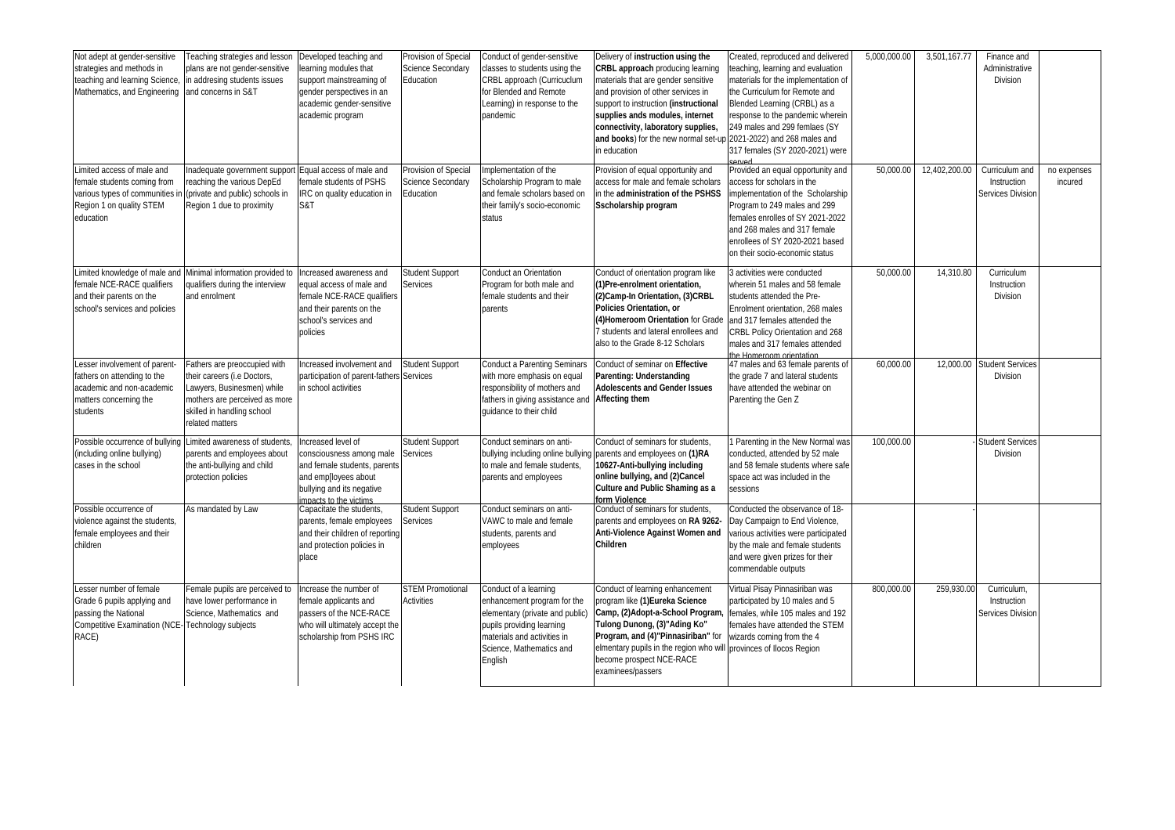| Not adept at gender-sensitive<br>strategies and methods in<br>teaching and learning Science<br>Mathematics, and Engineering       | Teaching strategies and lesson<br>plans are not gender-sensitive<br>in addresing students issues<br>and concerns in S&T                                                     | Developed teaching and<br>earning modules that<br>support mainstreaming of<br>gender perspectives in an<br>academic gender-sensitive<br>academic program     | Provision of Special<br>Science Secondary<br>Education | Conduct of gender-sensitive<br>classes to students using the<br>CRBL approach (Curricuclum<br>for Blended and Remote<br>Learning) in response to the<br>pandemic                           | Delivery of instruction using the<br><b>CRBL approach producing learning</b><br>materials that are gender sensitive<br>and provision of other services in<br>support to instruction (instructional<br>supplies ands modules, internet<br>connectivity, laboratory supplies,<br>and books) for the new normal set-up 2021-2022) and 268 males and<br>in education | Created, reproduced and delivered<br>eaching, learning and evaluation<br>materials for the implementation of<br>the Curriculum for Remote and<br>Blended Learning (CRBL) as a<br>response to the pandemic wherein<br>249 males and 299 femlaes (SY<br>317 females (SY 2020-2021) were | 5.000.000.00 | 3,501,167.77  | Finance and<br>Administrative<br>Division                 |                        |
|-----------------------------------------------------------------------------------------------------------------------------------|-----------------------------------------------------------------------------------------------------------------------------------------------------------------------------|--------------------------------------------------------------------------------------------------------------------------------------------------------------|--------------------------------------------------------|--------------------------------------------------------------------------------------------------------------------------------------------------------------------------------------------|------------------------------------------------------------------------------------------------------------------------------------------------------------------------------------------------------------------------------------------------------------------------------------------------------------------------------------------------------------------|---------------------------------------------------------------------------------------------------------------------------------------------------------------------------------------------------------------------------------------------------------------------------------------|--------------|---------------|-----------------------------------------------------------|------------------------|
| imited access of male and<br>female students coming from<br>various types of communities<br>Region 1 on quality STEM<br>education | Inadequate government suppor<br>reaching the various DepEd<br>(private and public) schools in<br>Region 1 due to proximity                                                  | Equal access of male and<br>female students of PSHS<br>IRC on quality education in<br>S&T                                                                    | Provision of Special<br>Science Secondary<br>Education | Implementation of the<br>Scholarship Program to male<br>and female scholars based on<br>their family's socio-economic<br>status                                                            | Provision of equal opportunity and<br>access for male and female scholars<br>in the administration of the PSHSS<br>Sscholarship program                                                                                                                                                                                                                          | Provided an equal opportunity and<br>access for scholars in the<br>implementation of the Scholarship<br>Program to 249 males and 299<br>females enrolles of SY 2021-2022<br>and 268 males and 317 female<br>enrollees of SY 2020-2021 based<br>on their socio-economic status         | 50.000.00    | 12,402,200.00 | Curriculum and<br>Instruction<br><b>Services Division</b> | no expenses<br>incured |
| Limited knowledge of male and<br>female NCE-RACE qualifiers<br>and their parents on the<br>school's services and policies         | Minimal information provided to<br>qualifiers during the interview<br>and enrolment                                                                                         | Increased awareness and<br>equal access of male and<br>female NCE-RACE qualifiers<br>and their parents on the<br>school's services and<br>policies           | Student Support<br>Services                            | Conduct an Orientation<br>Program for both male and<br>female students and their<br>parents                                                                                                | Conduct of orientation program like<br>(1) Pre-enrolment orientation,<br>(2) Camp-In Orientation, (3) CRBL<br>Policies Orientation, or<br>(4) Homeroom Orientation for Grade<br>students and lateral enrollees and<br>also to the Grade 8-12 Scholars                                                                                                            | 3 activities were conducted<br>wherein 51 males and 58 female<br>students attended the Pre-<br>Enrolment orientation, 268 males<br>and 317 females attended the<br>CRBL Policy Orientation and 268<br>males and 317 females attended<br>he Homeroom orientation                       | 50,000.00    | 14,310.80     | Curriculum<br>Instruction<br>Division                     |                        |
| esser involvement of parent<br>fathers on attending to the<br>academic and non-academic<br>matters concerning the<br>students     | Fathers are preoccupied with<br>their careers (i.e Doctors,<br>Lawyers, Businesmen) while<br>mothers are perceived as more<br>skilled in handling school<br>related matters | Increased involvement and<br>participation of parent-fathers Services<br>in school activities                                                                | Student Support                                        | <b>Conduct a Parenting Seminars</b><br>with more emphasis on equal<br>responsibility of mothers and<br>fathers in giving assistance and<br>quidance to their child                         | Conduct of seminar on Effective<br>Parenting: Understanding<br><b>Adolescents and Gender Issues</b><br><b>Affecting them</b>                                                                                                                                                                                                                                     | 47 males and 63 female parents of<br>the grade 7 and lateral students<br>have attended the webinar on<br>Parenting the Gen Z                                                                                                                                                          | 60,000.00    |               | 12,000.00 Student Services<br>Division                    |                        |
| Possible occurrence of bullying<br>(including online bullying)<br>cases in the school                                             | Limited awareness of students<br>parents and employees about<br>the anti-bullying and child<br>protection policies                                                          | ncreased level of<br>consciousness among male<br>and female students, parents<br>and emp[loyees about<br>bullying and its negative<br>impacts to the victims | Student Support<br>Services                            | Conduct seminars on anti-<br>bullying including online bullying<br>to male and female students.<br>parents and employees                                                                   | Conduct of seminars for students<br>parents and employees on (1)RA<br>10627-Anti-bullying including<br>online bullying, and (2)Cancel<br><b>Culture and Public Shaming as a</b><br>form Violence                                                                                                                                                                 | Parenting in the New Normal was<br>conducted, attended by 52 male<br>and 58 female students where safe<br>space act was included in the<br>sessions                                                                                                                                   | 100,000.00   |               | <b>Student Service</b><br>Division                        |                        |
| Possible occurrence of<br>violence against the students,<br>female employees and their<br>children                                | As mandated by Law                                                                                                                                                          | Capacitate the students,<br>parents, female employees<br>and their children of reporting<br>and protection policies in<br>place                              | <b>Student Support</b><br>Services                     | Conduct seminars on anti-<br>VAWC to male and female<br>students, parents and<br>employees                                                                                                 | Conduct of seminars for students<br>parents and employees on RA 9262-<br>Anti-Violence Against Women and<br>Children                                                                                                                                                                                                                                             | Conducted the observance of 18-<br>Day Campaign to End Violence,<br>various activities were participated<br>by the male and female students<br>and were given prizes for their<br>commendable outputs                                                                                 |              |               |                                                           |                        |
| Lesser number of female<br>Grade 6 pupils applying and<br>passing the National<br><b>Competitive Examination (NCE</b><br>RACE)    | Female pupils are perceived to<br>have lower performance in<br>Science, Mathematics and<br><b>Technology subjects</b>                                                       | Increase the number of<br>female applicants and<br>passers of the NCE-RACE<br>who will ultimately accept the<br>scholarship from PSHS IRC                    | <b>STEM Promotional</b><br><b>Activities</b>           | Conduct of a learning<br>enhancement program for the<br>elementary (private and public)<br>pupils providing learning<br>materials and activities in<br>Science, Mathematics and<br>English | Conduct of learning enhancement<br>program like (1) Eureka Science<br>Camp, (2)Adopt-a-School Program<br>Tulong Dunong, (3)"Ading Ko"<br>Program, and (4)"Pinnasiriban" for<br>elmentary pupils in the region who will provinces of Ilocos Region<br>become prospect NCE-RACE<br>examinees/passers                                                               | Virtual Pisay Pinnasiriban was<br>participated by 10 males and 5<br>females, while 105 males and 192<br>females have attended the STEM<br>wizards coming from the 4                                                                                                                   | 800,000.00   | 259,930.00    | Curriculum,<br>Instruction<br><b>Services Division</b>    |                        |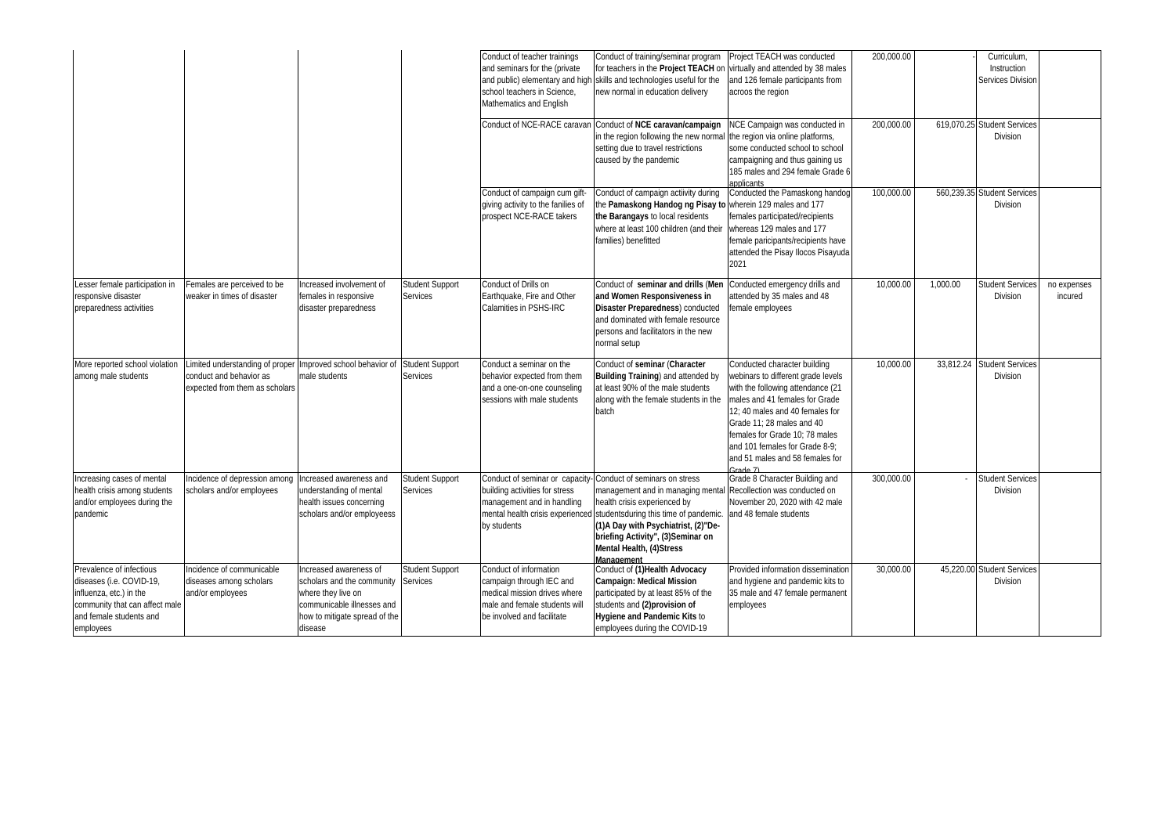|                                                                                                                                                           |                                                                                             |                                                                                                                                                      |                                    | Conduct of teacher trainings<br>and seminars for the (private<br>school teachers in Science,<br>Mathematics and English                           | Conduct of training/seminar program<br>for teachers in the <b>Project TEACH</b> on virtually and attended by 38 males<br>and public) elementary and high skills and technologies useful for the<br>new normal in education delivery                                                                                                                              | Project TEACH was conducted<br>and 126 female participants from<br>acroos the region                                                                                                                                                                                                                                           | 200,000.00 |           | Curriculum,<br>Instruction<br>Services Division |                        |
|-----------------------------------------------------------------------------------------------------------------------------------------------------------|---------------------------------------------------------------------------------------------|------------------------------------------------------------------------------------------------------------------------------------------------------|------------------------------------|---------------------------------------------------------------------------------------------------------------------------------------------------|------------------------------------------------------------------------------------------------------------------------------------------------------------------------------------------------------------------------------------------------------------------------------------------------------------------------------------------------------------------|--------------------------------------------------------------------------------------------------------------------------------------------------------------------------------------------------------------------------------------------------------------------------------------------------------------------------------|------------|-----------|-------------------------------------------------|------------------------|
|                                                                                                                                                           |                                                                                             |                                                                                                                                                      |                                    |                                                                                                                                                   | Conduct of NCE-RACE caravan Conduct of NCE caravan/campaign<br>in the region following the new normal<br>setting due to travel restrictions<br>caused by the pandemic                                                                                                                                                                                            | NCE Campaign was conducted in<br>the region via online platforms,<br>some conducted school to school<br>campaigning and thus gaining us<br>185 males and 294 female Grade 6<br>applicants                                                                                                                                      | 200,000.00 |           | 619,070.25 Student Services<br>Division         |                        |
|                                                                                                                                                           |                                                                                             |                                                                                                                                                      |                                    | Conduct of campaign cum gift-<br>giving activity to the fanilies of<br>prospect NCE-RACE takers                                                   | Conduct of campaign actiivity during<br>the Pamaskong Handog ng Pisay to wherein 129 males and 177<br>the Barangays to local residents<br>where at least 100 children (and their<br>families) benefitted                                                                                                                                                         | Conducted the Pamaskong handog<br>females participated/recipients<br>whereas 129 males and 177<br>female paricipants/recipients have<br>attended the Pisay Ilocos Pisayuda<br>2021                                                                                                                                             | 100,000.00 |           | 560.239.35 Student Services<br><b>Division</b>  |                        |
| Lesser female participation in<br>responsive disaster<br>preparedness activities                                                                          | Females are perceived to be<br>weaker in times of disaster                                  | Increased involvement of<br>females in responsive<br>disaster preparedness                                                                           | Student Support<br>Services        | Conduct of Drills on<br>Earthquake, Fire and Other<br>Calamities in PSHS-IRC                                                                      | Conduct of seminar and drills (Men<br>and Women Responsiveness in<br><b>Disaster Preparedness)</b> conducted<br>and dominated with female resource<br>persons and facilitators in the new<br>normal setup                                                                                                                                                        | Conducted emergency drills and<br>attended by 35 males and 48<br>female employees                                                                                                                                                                                                                                              | 10,000.00  | 1,000.00  | Student Service:<br>Division                    | no expenses<br>incured |
| More reported school violation<br>among male students                                                                                                     | imited understanding of proper<br>conduct and behavior as<br>expected from them as scholars | Improved school behavior of<br>male students                                                                                                         | <b>Student Support</b><br>Services | Conduct a seminar on the<br>behavior expected from them<br>and a one-on-one counseling<br>sessions with male students                             | Conduct of seminar (Character<br><b>Building Training)</b> and attended by<br>at least 90% of the male students<br>along with the female students in the<br>batch                                                                                                                                                                                                | Conducted character building<br>webinars to different grade levels<br>with the following attendance (21<br>males and 41 females for Grade<br>12: 40 males and 40 females for<br>Grade 11; 28 males and 40<br>females for Grade 10; 78 males<br>and 101 females for Grade 8-9;<br>and 51 males and 58 females for<br>$2rad0$ 7) | 10,000.00  | 33,812.24 | <b>Student Services</b><br><b>Division</b>      |                        |
| Increasing cases of mental<br>health crisis among students<br>and/or employees during the<br>pandemic                                                     | Incidence of depression among<br>scholars and/or employees                                  | Increased awareness and<br>understanding of mental<br>health issues concerning<br>scholars and/or employeess                                         | <b>Student Support</b><br>Services | building activities for stress<br>management and in handling<br>by students                                                                       | Conduct of seminar or capacity-Conduct of seminars on stress<br>management and in managing mental Recollection was conducted on<br>health crisis experienced by<br>mental health crisis experienced studentsduring this time of pandemic.<br>(1) A Day with Psychiatrist, (2)"De-<br>briefing Activity", (3)Seminar on<br>Mental Health, (4)Stress<br>Management | Grade 8 Character Building and<br>November 20, 2020 with 42 male<br>and 48 female students                                                                                                                                                                                                                                     | 300,000.00 |           | <b>Student Services</b><br>Division             |                        |
| Prevalence of infectious<br>diseases (i.e. COVID-19,<br>influenza, etc.) in the<br>community that can affect male<br>and female students and<br>employees | Incidence of communicable<br>diseases among scholars<br>and/or employees                    | Increased awareness of<br>scholars and the community<br>where they live on<br>communicable illnesses and<br>how to mitigate spread of the<br>disease | <b>Student Support</b><br>Services | Conduct of information<br>campaign through IEC and<br>medical mission drives where<br>male and female students will<br>be involved and facilitate | Conduct of (1) Health Advocacy<br><b>Campaign: Medical Mission</b><br>participated by at least 85% of the<br>students and (2)provision of<br><b>Hygiene and Pandemic Kits to</b><br>employees during the COVID-19                                                                                                                                                | Provided information dissemination<br>and hygiene and pandemic kits to<br>35 male and 47 female permanent<br>employees                                                                                                                                                                                                         | 30.000.00  |           | 45.220.00 Student Service<br><b>Division</b>    |                        |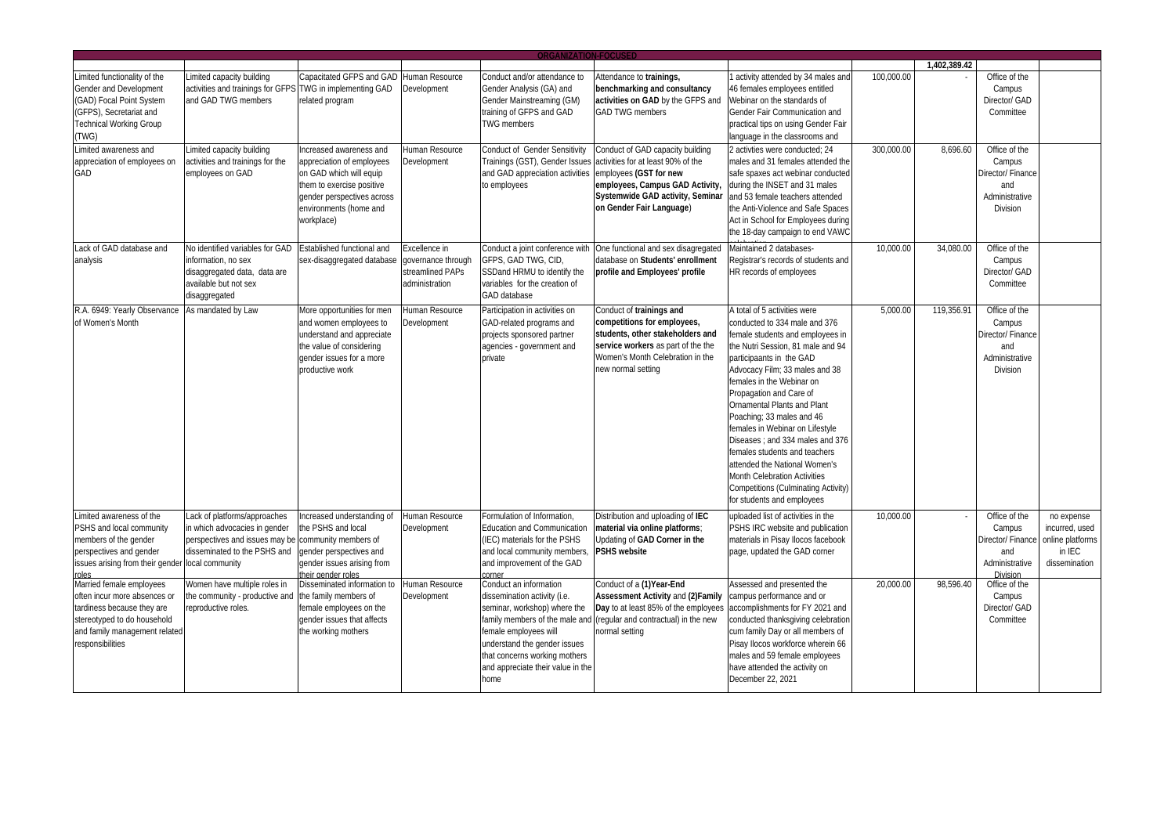|                                  |                                   |                                                     |                    | <b>ORGANIZATION-FOCUSED</b>                             |                                                                         |                                                                       |            | 1.402.389.42 |                             |                  |
|----------------------------------|-----------------------------------|-----------------------------------------------------|--------------------|---------------------------------------------------------|-------------------------------------------------------------------------|-----------------------------------------------------------------------|------------|--------------|-----------------------------|------------------|
| Limited functionality of the     | Limited capacity building         | Capacitated GFPS and GAD                            | Human Resource     | Conduct and/or attendance to                            | Attendance to trainings,                                                | 1 activity attended by 34 males and                                   | 100,000.00 |              | Office of the               |                  |
| Gender and Development           | activities and trainings for GFPS | TWG in implementing GAD                             | Development        | Gender Analysis (GA) and                                | benchmarking and consultancy                                            | 46 females employees entitled                                         |            |              | Campus                      |                  |
| (GAD) Focal Point System         | and GAD TWG members               | related program                                     |                    | Gender Mainstreaming (GM)                               | activities on GAD by the GFPS and                                       | Webinar on the standards of                                           |            |              | Director/ GAD               |                  |
| (GFPS), Secretariat and          |                                   |                                                     |                    | training of GFPS and GAD                                | <b>GAD TWG members</b>                                                  | Gender Fair Communication and                                         |            |              | Committee                   |                  |
| <b>Technical Working Group</b>   |                                   |                                                     |                    | <b>TWG</b> members                                      |                                                                         | practical tips on using Gender Fair                                   |            |              |                             |                  |
| (TWG)                            |                                   |                                                     |                    |                                                         |                                                                         | language in the classrooms and                                        |            |              |                             |                  |
| Limited awareness and            | Limited capacity building         | Increased awareness and                             | Human Resource     | <b>Conduct of Gender Sensitivity</b>                    | Conduct of GAD capacity building                                        | 2 activties were conducted; 24                                        | 300,000.00 | 8,696.60     | Office of the               |                  |
| appreciation of employees on     | activities and trainings for the  | appreciation of employees                           | Development        | Trainings (GST), Gender Issues                          | activities for at least 90% of the                                      | males and 31 females attended the                                     |            |              | Campus                      |                  |
| GAD                              | employees on GAD                  | on GAD which will equip                             |                    | and GAD appreciation activities                         | employees (GST for new                                                  | safe spaxes act webinar conducted                                     |            |              | Director/ Finance           |                  |
|                                  |                                   | them to exercise positive                           |                    | to employees                                            | employees, Campus GAD Activity,                                         | during the INSET and 31 males                                         |            |              | and                         |                  |
|                                  |                                   | gender perspectives across                          |                    |                                                         | Systemwide GAD activity, Seminar                                        | and 53 female teachers attended                                       |            |              | Administrative              |                  |
|                                  |                                   | environments (home and                              |                    |                                                         | on Gender Fair Language)                                                | the Anti-Violence and Safe Spaces                                     |            |              | Division                    |                  |
|                                  |                                   | workplace)                                          |                    |                                                         |                                                                         | Act in School for Employees during                                    |            |              |                             |                  |
|                                  |                                   |                                                     |                    |                                                         |                                                                         | the 18-day campaign to end VAWC                                       |            |              |                             |                  |
| Lack of GAD database and         | No identified variables for GAD   | Established functional and                          | Excellence in      | Conduct a joint conference with                         |                                                                         | Maintained 2 databases-                                               | 10,000.00  | 34,080.00    | Office of the               |                  |
| analysis                         | information, no sex               | sex-disaggregated database                          | governance through | GFPS, GAD TWG, CID,                                     | One functional and sex disagregated<br>database on Students' enrollment | Registrar's records of students and                                   |            |              | Campus                      |                  |
|                                  | disaggregated data, data are      |                                                     | streamlined PAPs   | SSDand HRMU to identify the                             | profile and Employees' profile                                          | HR records of employees                                               |            |              | Director/ GAD               |                  |
|                                  | available but not sex             |                                                     | administration     | variables for the creation of                           |                                                                         |                                                                       |            |              | Committee                   |                  |
|                                  | disaggregated                     |                                                     |                    | <b>GAD</b> database                                     |                                                                         |                                                                       |            |              |                             |                  |
|                                  |                                   |                                                     |                    |                                                         |                                                                         |                                                                       |            |              |                             |                  |
| R.A. 6949: Yearly Observance     | As mandated by Law                | More opportunities for men                          | Human Resource     | Participation in activities on                          | Conduct of trainings and                                                | A total of 5 activities were                                          | 5.000.00   | 119,356.91   | Office of the               |                  |
| of Women's Month                 |                                   | and women employees to<br>understand and appreciate | Development        | GAD-related programs and                                | competitions for employees,<br>students, other stakeholders and         | conducted to 334 male and 376                                         |            |              | Campus<br>Director/ Finance |                  |
|                                  |                                   | the value of considering                            |                    | projects sponsored partner<br>agencies - government and | service workers as part of the the                                      | female students and employees in<br>the Nutri Session, 81 male and 94 |            |              | and                         |                  |
|                                  |                                   | gender issues for a more                            |                    | private                                                 | Women's Month Celebration in the                                        | participaants in the GAD                                              |            |              | Administrative              |                  |
|                                  |                                   | productive work                                     |                    |                                                         | new normal setting                                                      | Advocacy Film; 33 males and 38                                        |            |              | Division                    |                  |
|                                  |                                   |                                                     |                    |                                                         |                                                                         | females in the Webinar on                                             |            |              |                             |                  |
|                                  |                                   |                                                     |                    |                                                         |                                                                         | Propagation and Care of                                               |            |              |                             |                  |
|                                  |                                   |                                                     |                    |                                                         |                                                                         | Ornamental Plants and Plant                                           |            |              |                             |                  |
|                                  |                                   |                                                     |                    |                                                         |                                                                         | Poaching; 33 males and 46                                             |            |              |                             |                  |
|                                  |                                   |                                                     |                    |                                                         |                                                                         | females in Webinar on Lifestyle                                       |            |              |                             |                  |
|                                  |                                   |                                                     |                    |                                                         |                                                                         | Diseases ; and 334 males and 376                                      |            |              |                             |                  |
|                                  |                                   |                                                     |                    |                                                         |                                                                         | females students and teachers                                         |            |              |                             |                  |
|                                  |                                   |                                                     |                    |                                                         |                                                                         | attended the National Women's                                         |            |              |                             |                  |
|                                  |                                   |                                                     |                    |                                                         |                                                                         | <b>Month Celebration Activities</b>                                   |            |              |                             |                  |
|                                  |                                   |                                                     |                    |                                                         |                                                                         | Competitions (Culminating Activity)                                   |            |              |                             |                  |
|                                  |                                   |                                                     |                    |                                                         |                                                                         | for students and employees                                            |            |              |                             |                  |
| Limited awareness of the         | Lack of platforms/approaches      | Increased understanding of                          | Human Resource     | Formulation of Information,                             | Distribution and uploading of IEC                                       | uploaded list of activities in the                                    | 10,000.00  |              | Office of the               | no expense       |
| PSHS and local community         | in which advocacies in gender     | the PSHS and local                                  | Development        | <b>Education and Communication</b>                      | material via online platforms;                                          | PSHS IRC website and publication                                      |            |              | Campus                      | incurred, used   |
| members of the gender            | perspectives and issues may be    | community members of                                |                    | (IEC) materials for the PSHS                            | Updating of GAD Corner in the                                           | materials in Pisay Ilocos facebook                                    |            |              | Director/ Finance           | online platforms |
| perspectives and gender          | disseminated to the PSHS and      | gender perspectives and                             |                    | and local community members,                            | <b>PSHS website</b>                                                     | page, updated the GAD corner                                          |            |              | and                         | in IEC           |
| issues arising from their gender | local community                   | gender issues arising from                          |                    | and improvement of the GAD                              |                                                                         |                                                                       |            |              | Administrative              | dissemination    |
| roles                            |                                   | their gender roles                                  |                    | corner                                                  |                                                                         |                                                                       |            |              | Division                    |                  |
| Married female employees         | Women have multiple roles in      | Disseminated information to                         | Human Resource     | Conduct an information                                  | Conduct of a (1)Year-End                                                | Assessed and presented the                                            | 20,000.00  | 98,596.40    | Office of the               |                  |
| often incur more absences or     | the community - productive and    | the family members of                               | Development        | dissemination activity (i.e.                            | <b>Assessment Activity and (2)Family</b>                                | campus performance and or                                             |            |              | Campus                      |                  |
| tardiness because they are       | eproductive roles.                | female employees on the                             |                    | seminar, workshop) where the                            | Day to at least 85% of the employees                                    | accomplishments for FY 2021 and                                       |            |              | Director/ GAD               |                  |
| stereotyped to do household      |                                   | gender issues that affects                          |                    | family members of the male and                          | (regular and contractual) in the new                                    | conducted thanksgiving celebration                                    |            |              | Committee                   |                  |
| and family management related    |                                   | the working mothers                                 |                    | female employees will                                   | normal setting                                                          | cum family Day or all members of                                      |            |              |                             |                  |
| responsibilities                 |                                   |                                                     |                    | understand the gender issues                            |                                                                         | Pisay Ilocos workforce wherein 66                                     |            |              |                             |                  |
|                                  |                                   |                                                     |                    | that concerns working mothers                           |                                                                         | males and 59 female employees                                         |            |              |                             |                  |
|                                  |                                   |                                                     |                    | and appreciate their value in the                       |                                                                         | have attended the activity on                                         |            |              |                             |                  |
|                                  |                                   |                                                     |                    | home                                                    |                                                                         | December 22, 2021                                                     |            |              |                             |                  |
|                                  |                                   |                                                     |                    |                                                         |                                                                         |                                                                       |            |              |                             |                  |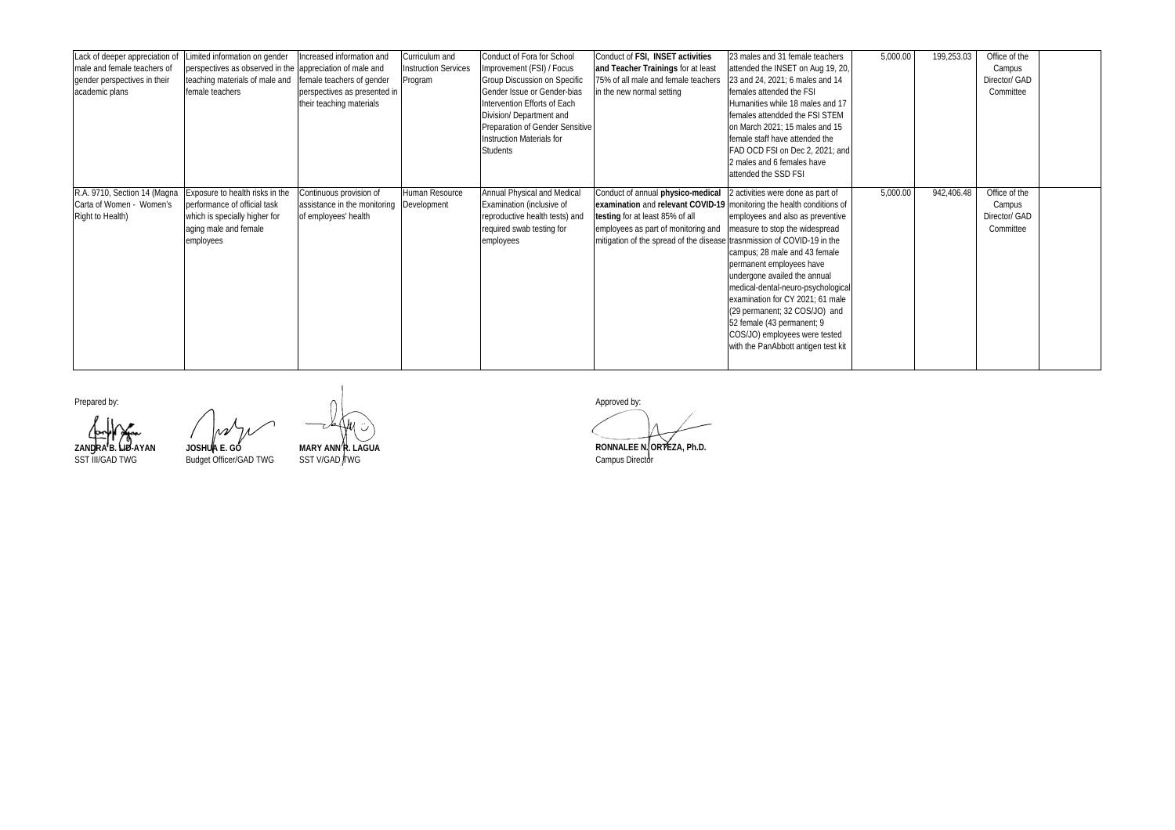| Lack of deeper appreciation of<br>male and female teachers of<br>gender perspectives in their<br>academic plans | Limited information on gender<br>perspectives as observed in the appreciation of male and<br>teaching materials of male and<br>female teachers | Increased information and<br>female teachers of gender<br>perspectives as presented in<br>their teaching materials | Curriculum and<br><b>Instruction Services</b><br>Program | Conduct of Fora for School<br>Improvement (FSI) / Focus<br><b>Group Discussion on Specific</b><br>Gender Issue or Gender-bias<br>Intervention Efforts of Each<br>Division/ Department and<br>Preparation of Gender Sensitive<br><b>Instruction Materials for</b><br><b>Students</b> | Conduct of FSI, INSET activities<br>and Teacher Trainings for at least<br>75% of all male and female teachers<br>in the new normal setting                                                                                                                      | 23 males and 31 female teachers<br>attended the INSET on Aug 19, 20,<br>23 and 24, 2021; 6 males and 14<br>females attended the FSI<br>Humanities while 18 males and 17<br>females attendded the FSI STEM<br>on March 2021; 15 males and 15<br>female staff have attended the<br>FAD OCD FSI on Dec 2, 2021; and<br>2 males and 6 females have<br>attended the SSD FSI                                                | 5,000.00 | 199,253.03 | Office of the<br>Campus<br>Director/ GAD<br>Committee |  |
|-----------------------------------------------------------------------------------------------------------------|------------------------------------------------------------------------------------------------------------------------------------------------|--------------------------------------------------------------------------------------------------------------------|----------------------------------------------------------|-------------------------------------------------------------------------------------------------------------------------------------------------------------------------------------------------------------------------------------------------------------------------------------|-----------------------------------------------------------------------------------------------------------------------------------------------------------------------------------------------------------------------------------------------------------------|-----------------------------------------------------------------------------------------------------------------------------------------------------------------------------------------------------------------------------------------------------------------------------------------------------------------------------------------------------------------------------------------------------------------------|----------|------------|-------------------------------------------------------|--|
| R.A. 9710, Section 14 (Magna<br>Carta of Women - Women's<br>Right to Health)                                    | Exposure to health risks in the<br>performance of official task<br>which is specially higher for<br>aging male and female<br>employees         | Continuous provision of<br>assistance in the monitoring<br>of employees' health                                    | Human Resource<br>Development                            | Annual Physical and Medical<br>Examination (inclusive of<br>reproductive health tests) and<br>required swab testing for<br>employees                                                                                                                                                | Conduct of annual physico-medical<br>examination and relevant COVID-19 monitoring the health conditions of<br>testing for at least 85% of all<br>employees as part of monitoring and<br>mitigation of the spread of the disease trasnmission of COVID-19 in the | 2 activities were done as part of<br>employees and also as preventive<br>measure to stop the widespread<br>campus; 28 male and 43 female<br>permanent employees have<br>undergone availed the annual<br>medical-dental-neuro-psychological<br>examination for CY 2021; 61 male<br>(29 permanent; 32 COS/JO) and<br>52 female (43 permanent; 9<br>COS/JO) employees were tested<br>with the PanAbbott antigen test kit | 5,000.00 | 942,406.48 | Office of the<br>Campus<br>Director/ GAD<br>Committee |  |

**ZANDRA B. LID-AYAN JOSHUA E. GO MARY ANN R. LAGUA RONNALEE N. ORTEZA, Ph.D.** JOSHUA E. GO<br>Budget Officer/GAD TWG

Prepared by:  $\bigcap$  Approved by: